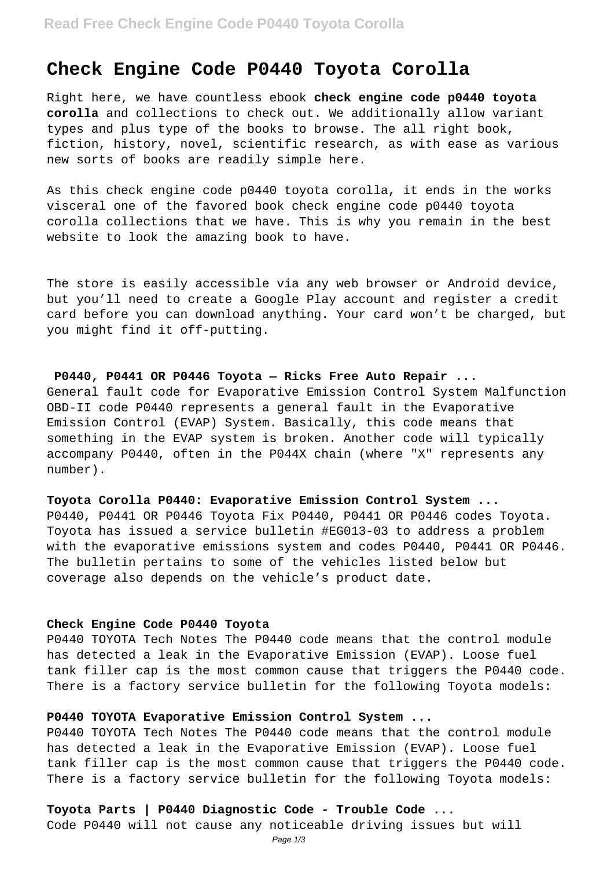# **Check Engine Code P0440 Toyota Corolla**

Right here, we have countless ebook **check engine code p0440 toyota corolla** and collections to check out. We additionally allow variant types and plus type of the books to browse. The all right book, fiction, history, novel, scientific research, as with ease as various new sorts of books are readily simple here.

As this check engine code p0440 toyota corolla, it ends in the works visceral one of the favored book check engine code p0440 toyota corolla collections that we have. This is why you remain in the best website to look the amazing book to have.

The store is easily accessible via any web browser or Android device, but you'll need to create a Google Play account and register a credit card before you can download anything. Your card won't be charged, but you might find it off-putting.

#### **P0440, P0441 OR P0446 Toyota — Ricks Free Auto Repair ...**

General fault code for Evaporative Emission Control System Malfunction OBD-II code P0440 represents a general fault in the Evaporative Emission Control (EVAP) System. Basically, this code means that something in the EVAP system is broken. Another code will typically accompany P0440, often in the P044X chain (where "X" represents any number).

#### **Toyota Corolla P0440: Evaporative Emission Control System ...**

P0440, P0441 OR P0446 Toyota Fix P0440, P0441 OR P0446 codes Toyota. Toyota has issued a service bulletin #EG013-03 to address a problem with the evaporative emissions system and codes P0440, P0441 OR P0446. The bulletin pertains to some of the vehicles listed below but coverage also depends on the vehicle's product date.

#### **Check Engine Code P0440 Toyota**

P0440 TOYOTA Tech Notes The P0440 code means that the control module has detected a leak in the Evaporative Emission (EVAP). Loose fuel tank filler cap is the most common cause that triggers the P0440 code. There is a factory service bulletin for the following Toyota models:

#### **P0440 TOYOTA Evaporative Emission Control System ...**

P0440 TOYOTA Tech Notes The P0440 code means that the control module has detected a leak in the Evaporative Emission (EVAP). Loose fuel tank filler cap is the most common cause that triggers the P0440 code. There is a factory service bulletin for the following Toyota models:

#### **Toyota Parts | P0440 Diagnostic Code - Trouble Code ...**

Code P0440 will not cause any noticeable driving issues but will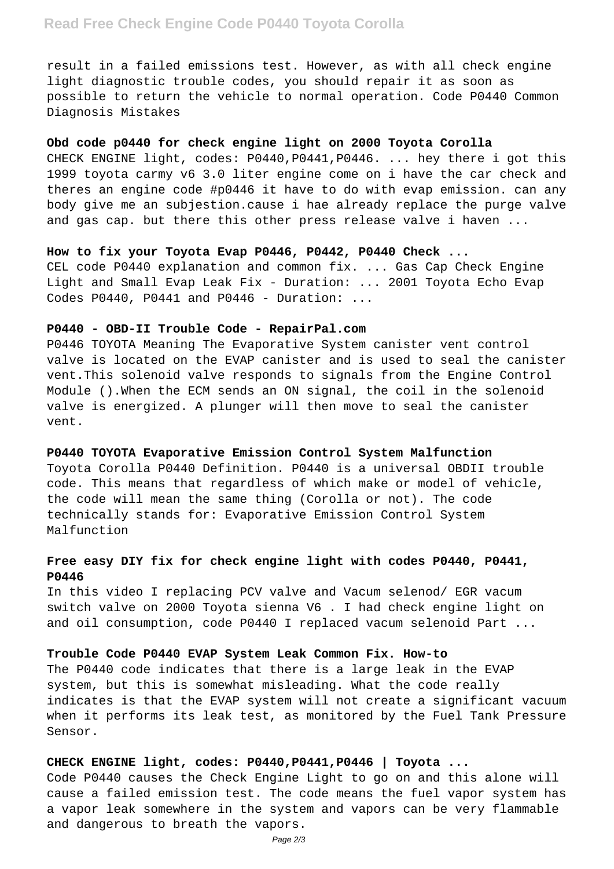## **Read Free Check Engine Code P0440 Toyota Corolla**

result in a failed emissions test. However, as with all check engine light diagnostic trouble codes, you should repair it as soon as possible to return the vehicle to normal operation. Code P0440 Common Diagnosis Mistakes

#### **Obd code p0440 for check engine light on 2000 Toyota Corolla**

CHECK ENGINE light, codes: P0440,P0441,P0446. ... hey there i got this 1999 toyota carmy v6 3.0 liter engine come on i have the car check and theres an engine code #p0446 it have to do with evap emission. can any body give me an subjestion.cause i hae already replace the purge valve and gas cap. but there this other press release valve i haven ...

#### **How to fix your Toyota Evap P0446, P0442, P0440 Check ...**

CEL code P0440 explanation and common fix. ... Gas Cap Check Engine Light and Small Evap Leak Fix - Duration: ... 2001 Toyota Echo Evap Codes P0440, P0441 and P0446 - Duration: ...

#### **P0440 - OBD-II Trouble Code - RepairPal.com**

P0446 TOYOTA Meaning The Evaporative System canister vent control valve is located on the EVAP canister and is used to seal the canister vent.This solenoid valve responds to signals from the Engine Control Module ().When the ECM sends an ON signal, the coil in the solenoid valve is energized. A plunger will then move to seal the canister vent.

#### **P0440 TOYOTA Evaporative Emission Control System Malfunction**

Toyota Corolla P0440 Definition. P0440 is a universal OBDII trouble code. This means that regardless of which make or model of vehicle, the code will mean the same thing (Corolla or not). The code technically stands for: Evaporative Emission Control System Malfunction

## **Free easy DIY fix for check engine light with codes P0440, P0441, P0446**

In this video I replacing PCV valve and Vacum selenod/ EGR vacum switch valve on 2000 Toyota sienna V6 . I had check engine light on and oil consumption, code P0440 I replaced vacum selenoid Part ...

#### **Trouble Code P0440 EVAP System Leak Common Fix. How-to**

The P0440 code indicates that there is a large leak in the EVAP system, but this is somewhat misleading. What the code really indicates is that the EVAP system will not create a significant vacuum when it performs its leak test, as monitored by the Fuel Tank Pressure Sensor.

## **CHECK ENGINE light, codes: P0440,P0441,P0446 | Toyota ...**

Code P0440 causes the Check Engine Light to go on and this alone will cause a failed emission test. The code means the fuel vapor system has a vapor leak somewhere in the system and vapors can be very flammable and dangerous to breath the vapors.